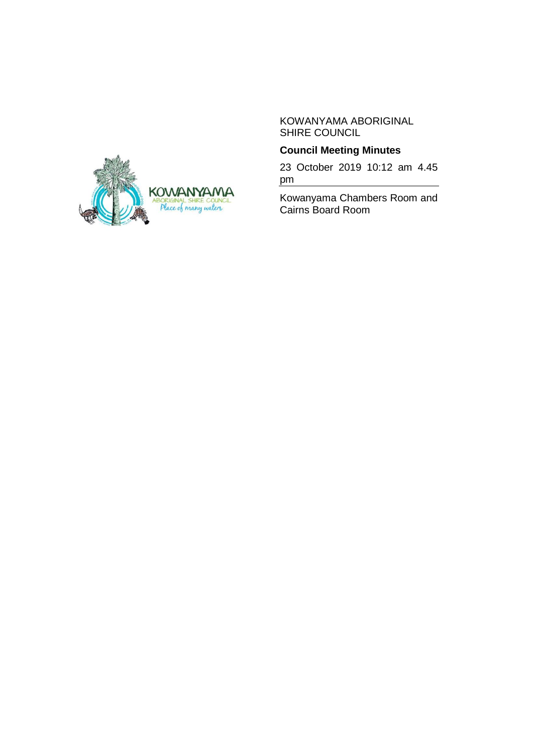KOWANYAMA ABORIGINAL SHIRE COUNCIL

# **Council Meeting Minutes**

23 October 2019 10:12 am 4.45 pm

Kowanyama Chambers Room and Cairns Board Room

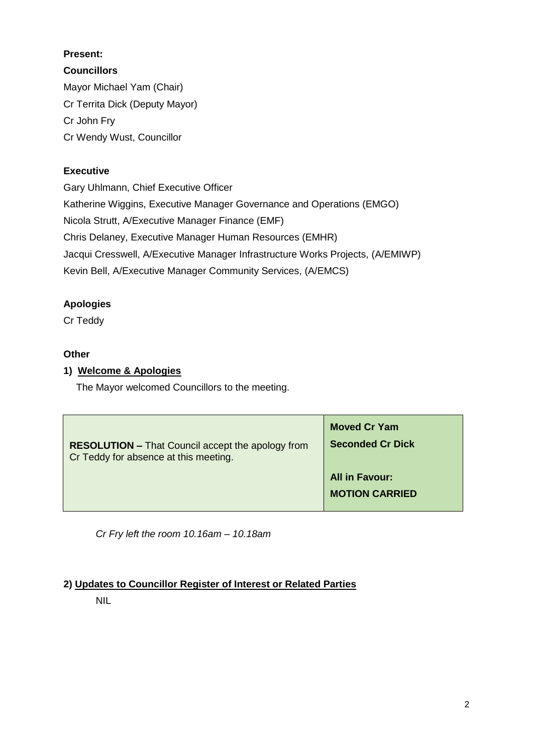# **Present:**

**Councillors** Mayor Michael Yam (Chair) Cr Territa Dick (Deputy Mayor) Cr John Fry Cr Wendy Wust, Councillor

# **Executive**

Gary Uhlmann, Chief Executive Officer Katherine Wiggins, Executive Manager Governance and Operations (EMGO) Nicola Strutt, A/Executive Manager Finance (EMF) Chris Delaney, Executive Manager Human Resources (EMHR) Jacqui Cresswell, A/Executive Manager Infrastructure Works Projects, (A/EMIWP) Kevin Bell, A/Executive Manager Community Services, (A/EMCS)

# **Apologies**

Cr Teddy

# **Other**

# **1) Welcome & Apologies**

The Mayor welcomed Councillors to the meeting.

| <b>RESOLUTION – That Council accept the apology from</b> | <b>Moved Cr Yam</b>                            |
|----------------------------------------------------------|------------------------------------------------|
| Cr Teddy for absence at this meeting.                    | <b>Seconded Cr Dick</b>                        |
|                                                          | <b>All in Favour:</b><br><b>MOTION CARRIED</b> |

*Cr Fry left the room 10.16am – 10.18am*

# **2) Updates to Councillor Register of Interest or Related Parties**

NIL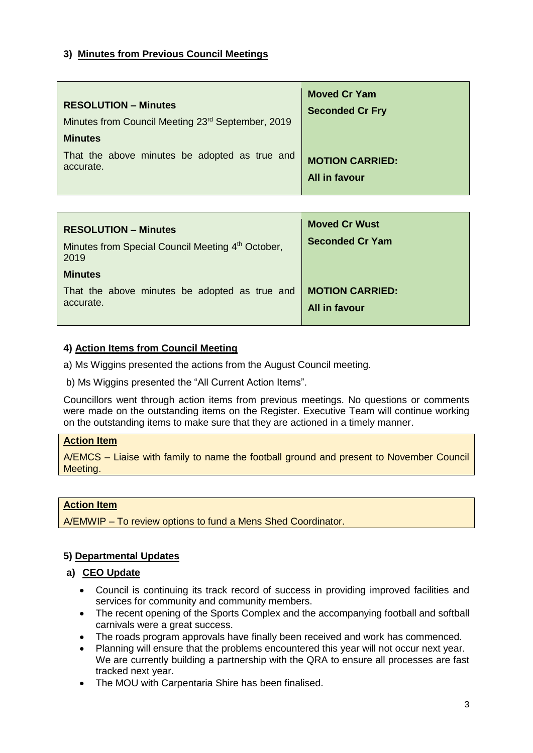### **3) Minutes from Previous Council Meetings**

| <b>RESOLUTION - Minutes</b><br>Minutes from Council Meeting 23rd September, 2019<br><b>Minutes</b> | <b>Moved Cr Yam</b><br><b>Seconded Cr Fry</b> |
|----------------------------------------------------------------------------------------------------|-----------------------------------------------|
| That the above minutes be adopted as true and                                                      | <b>MOTION CARRIED:</b>                        |
| accurate.                                                                                          | All in favour                                 |

| <b>RESOLUTION - Minutes</b><br>Minutes from Special Council Meeting 4 <sup>th</sup> October,<br>2019 | <b>Moved Cr Wust</b><br><b>Seconded Cr Yam</b> |
|------------------------------------------------------------------------------------------------------|------------------------------------------------|
| <b>Minutes</b>                                                                                       |                                                |
| That the above minutes be adopted as true and                                                        | <b>MOTION CARRIED:</b>                         |
| accurate.                                                                                            | All in favour                                  |
|                                                                                                      |                                                |

### **4) Action Items from Council Meeting**

a) Ms Wiggins presented the actions from the August Council meeting.

b) Ms Wiggins presented the "All Current Action Items".

Councillors went through action items from previous meetings. No questions or comments were made on the outstanding items on the Register. Executive Team will continue working on the outstanding items to make sure that they are actioned in a timely manner.

#### **Action Item**

A/EMCS – Liaise with family to name the football ground and present to November Council Meeting.

#### **Action Item**

A/EMWIP – To review options to fund a Mens Shed Coordinator.

### **5) Departmental Updates**

#### **a) CEO Update**

- Council is continuing its track record of success in providing improved facilities and services for community and community members.
- The recent opening of the Sports Complex and the accompanying football and softball carnivals were a great success.
- The roads program approvals have finally been received and work has commenced.
- Planning will ensure that the problems encountered this year will not occur next year. We are currently building a partnership with the QRA to ensure all processes are fast tracked next year.
- The MOU with Carpentaria Shire has been finalised.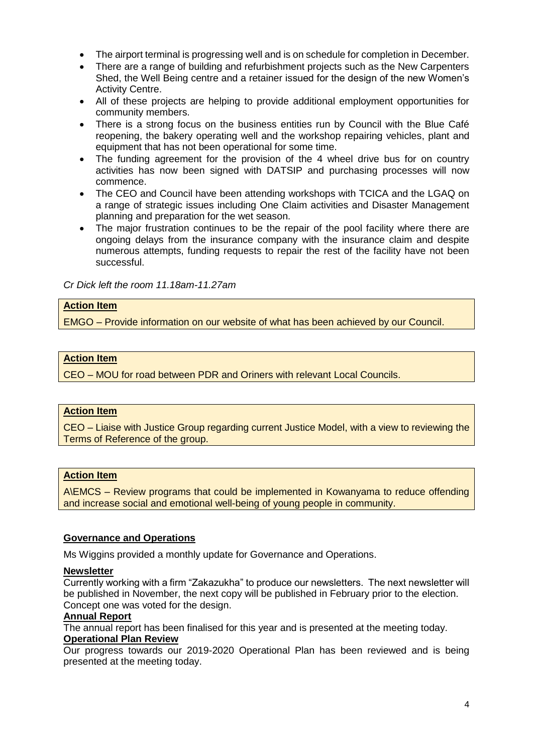- The airport terminal is progressing well and is on schedule for completion in December.
- There are a range of building and refurbishment projects such as the New Carpenters Shed, the Well Being centre and a retainer issued for the design of the new Women's Activity Centre.
- All of these projects are helping to provide additional employment opportunities for community members.
- There is a strong focus on the business entities run by Council with the Blue Café reopening, the bakery operating well and the workshop repairing vehicles, plant and equipment that has not been operational for some time.
- The funding agreement for the provision of the 4 wheel drive bus for on country activities has now been signed with DATSIP and purchasing processes will now commence.
- The CEO and Council have been attending workshops with TCICA and the LGAQ on a range of strategic issues including One Claim activities and Disaster Management planning and preparation for the wet season.
- The major frustration continues to be the repair of the pool facility where there are ongoing delays from the insurance company with the insurance claim and despite numerous attempts, funding requests to repair the rest of the facility have not been successful.

*Cr Dick left the room 11.18am-11.27am*

#### **Action Item**

EMGO – Provide information on our website of what has been achieved by our Council.

#### **Action Item**

CEO – MOU for road between PDR and Oriners with relevant Local Councils.

#### **Action Item**

CEO – Liaise with Justice Group regarding current Justice Model, with a view to reviewing the Terms of Reference of the group.

#### **Action Item**

A\EMCS – Review programs that could be implemented in Kowanyama to reduce offending and increase social and emotional well-being of young people in community.

#### **Governance and Operations**

Ms Wiggins provided a monthly update for Governance and Operations.

#### **Newsletter**

Currently working with a firm "Zakazukha" to produce our newsletters. The next newsletter will be published in November, the next copy will be published in February prior to the election. Concept one was voted for the design.

#### **Annual Report**

The annual report has been finalised for this year and is presented at the meeting today. **Operational Plan Review**

Our progress towards our 2019-2020 Operational Plan has been reviewed and is being presented at the meeting today.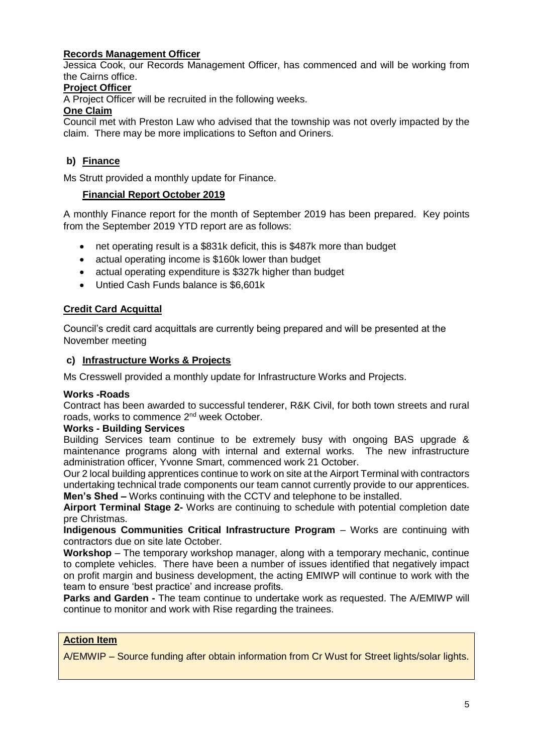### **Records Management Officer**

Jessica Cook, our Records Management Officer, has commenced and will be working from the Cairns office.

#### **Project Officer**

A Project Officer will be recruited in the following weeks.

#### **One Claim**

Council met with Preston Law who advised that the township was not overly impacted by the claim. There may be more implications to Sefton and Oriners.

### **b) Finance**

Ms Strutt provided a monthly update for Finance.

### **Financial Report October 2019**

A monthly Finance report for the month of September 2019 has been prepared. Key points from the September 2019 YTD report are as follows:

- net operating result is a \$831k deficit, this is \$487k more than budget
- actual operating income is \$160k lower than budget
- actual operating expenditure is \$327k higher than budget
- Untied Cash Funds balance is \$6,601k

### **Credit Card Acquittal**

Council's credit card acquittals are currently being prepared and will be presented at the November meeting

### **c) Infrastructure Works & Projects**

Ms Cresswell provided a monthly update for Infrastructure Works and Projects.

#### **Works -Roads**

Contract has been awarded to successful tenderer, R&K Civil, for both town streets and rural roads, works to commence 2nd week October.

#### **Works - Building Services**

Building Services team continue to be extremely busy with ongoing BAS upgrade & maintenance programs along with internal and external works. The new infrastructure administration officer, Yvonne Smart, commenced work 21 October.

Our 2 local building apprentices continue to work on site at the Airport Terminal with contractors undertaking technical trade components our team cannot currently provide to our apprentices. **Men's Shed** *–* Works continuing with the CCTV and telephone to be installed.

**Airport Terminal Stage 2-** Works are continuing to schedule with potential completion date pre Christmas.

**Indigenous Communities Critical Infrastructure Program** – Works are continuing with contractors due on site late October.

**Workshop** – The temporary workshop manager, along with a temporary mechanic, continue to complete vehicles. There have been a number of issues identified that negatively impact on profit margin and business development, the acting EMIWP will continue to work with the team to ensure 'best practice' and increase profits.

**Parks and Garden -** The team continue to undertake work as requested. The A/EMIWP will continue to monitor and work with Rise regarding the trainees.

#### **Action Item**

A/EMWIP – Source funding after obtain information from Cr Wust for Street lights/solar lights.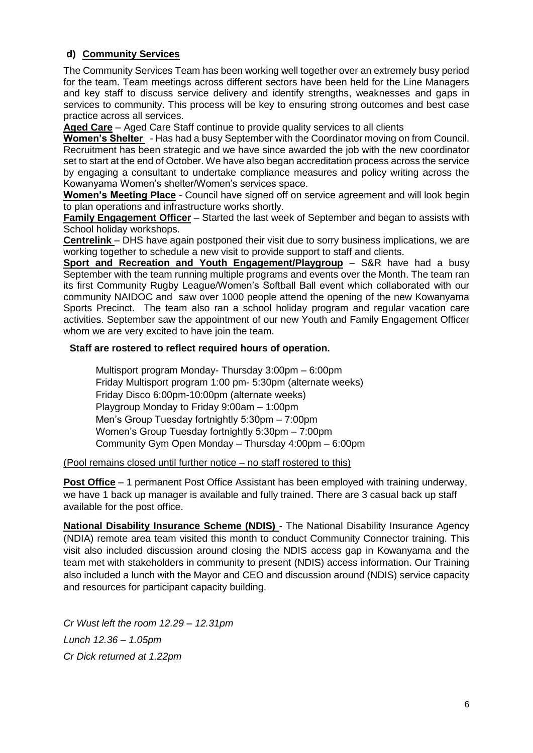### **d) Community Services**

The Community Services Team has been working well together over an extremely busy period for the team. Team meetings across different sectors have been held for the Line Managers and key staff to discuss service delivery and identify strengths, weaknesses and gaps in services to community. This process will be key to ensuring strong outcomes and best case practice across all services.

**Aged Care** – Aged Care Staff continue to provide quality services to all clients

**Women's Shelter** - Has had a busy September with the Coordinator moving on from Council. Recruitment has been strategic and we have since awarded the job with the new coordinator set to start at the end of October. We have also began accreditation process across the service by engaging a consultant to undertake compliance measures and policy writing across the Kowanyama Women's shelter/Women's services space.

**Women's Meeting Place** - Council have signed off on service agreement and will look begin to plan operations and infrastructure works shortly.

**Family Engagement Officer** – Started the last week of September and began to assists with School holiday workshops.

**Centrelink** – DHS have again postponed their visit due to sorry business implications, we are working together to schedule a new visit to provide support to staff and clients.

**Sport and Recreation and Youth Engagement/Playgroup** – S&R have had a busy September with the team running multiple programs and events over the Month. The team ran its first Community Rugby League/Women's Softball Ball event which collaborated with our community NAIDOC and saw over 1000 people attend the opening of the new Kowanyama Sports Precinct. The team also ran a school holiday program and regular vacation care activities. September saw the appointment of our new Youth and Family Engagement Officer whom we are very excited to have join the team.

#### **Staff are rostered to reflect required hours of operation.**

Multisport program Monday- Thursday 3:00pm – 6:00pm Friday Multisport program 1:00 pm- 5:30pm (alternate weeks) Friday Disco 6:00pm-10:00pm (alternate weeks) Playgroup Monday to Friday 9:00am – 1:00pm Men's Group Tuesday fortnightly 5:30pm – 7:00pm Women's Group Tuesday fortnightly 5:30pm – 7:00pm Community Gym Open Monday – Thursday 4:00pm – 6:00pm

#### (Pool remains closed until further notice – no staff rostered to this)

**Post Office** – 1 permanent Post Office Assistant has been employed with training underway, we have 1 back up manager is available and fully trained. There are 3 casual back up staff available for the post office.

**National Disability Insurance Scheme (NDIS)** - The National Disability Insurance Agency (NDIA) remote area team visited this month to conduct Community Connector training. This visit also included discussion around closing the NDIS access gap in Kowanyama and the team met with stakeholders in community to present (NDIS) access information. Our Training also included a lunch with the Mayor and CEO and discussion around (NDIS) service capacity and resources for participant capacity building.

*Cr Wust left the room 12.29 – 12.31pm Lunch 12.36 – 1.05pm Cr Dick returned at 1.22pm*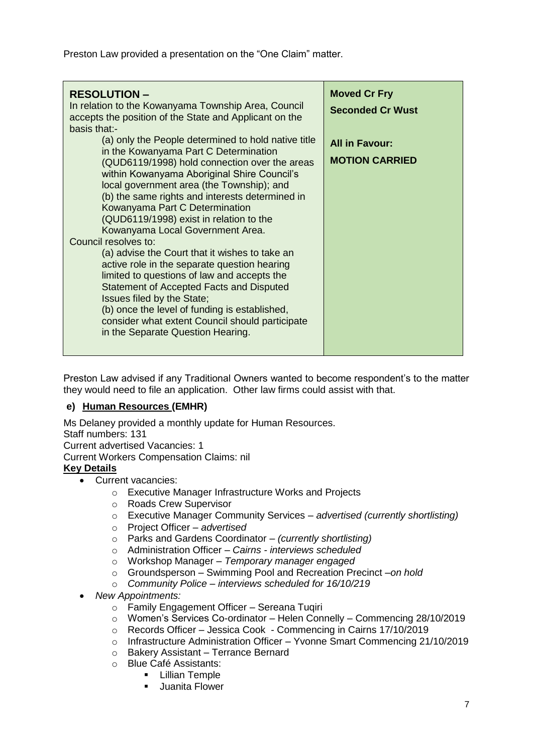Preston Law provided a presentation on the "One Claim" matter.

| <b>RESOLUTION-</b><br>In relation to the Kowanyama Township Area, Council<br>accepts the position of the State and Applicant on the<br>basis that:-                                                                                                                                                                                                                                                                                                                                     | <b>Moved Cr Fry</b><br><b>Seconded Cr Wust</b> |
|-----------------------------------------------------------------------------------------------------------------------------------------------------------------------------------------------------------------------------------------------------------------------------------------------------------------------------------------------------------------------------------------------------------------------------------------------------------------------------------------|------------------------------------------------|
| (a) only the People determined to hold native title<br>in the Kowanyama Part C Determination<br>(QUD6119/1998) hold connection over the areas<br>within Kowanyama Aboriginal Shire Council's<br>local government area (the Township); and<br>(b) the same rights and interests determined in<br>Kowanyama Part C Determination<br>(QUD6119/1998) exist in relation to the<br>Kowanyama Local Government Area.<br>Council resolves to:<br>(a) advise the Court that it wishes to take an | <b>All in Favour:</b><br><b>MOTION CARRIED</b> |
| active role in the separate question hearing<br>limited to questions of law and accepts the<br><b>Statement of Accepted Facts and Disputed</b><br>Issues filed by the State;<br>(b) once the level of funding is established,<br>consider what extent Council should participate<br>in the Separate Question Hearing.                                                                                                                                                                   |                                                |

Preston Law advised if any Traditional Owners wanted to become respondent's to the matter they would need to file an application. Other law firms could assist with that.

### **e) Human Resources (EMHR)**

Ms Delaney provided a monthly update for Human Resources.

Staff numbers: 131 Current advertised Vacancies: 1 Current Workers Compensation Claims: nil

### **Key Details**

- Current vacancies:
	- o Executive Manager Infrastructure Works and Projects
	- o Roads Crew Supervisor
	- o Executive Manager Community Services *advertised (currently shortlisting)*
	- o Project Officer *advertised*
	- o Parks and Gardens Coordinator *– (currently shortlisting)*
	- o Administration Officer *– Cairns - interviews scheduled*
	- o Workshop Manager *Temporary manager engaged*
	- o Groundsperson Swimming Pool and Recreation Precinct –*on hold*
	- o *Community Police – interviews scheduled for 16/10/219*
- *New Appointments:*
	- o Family Engagement Officer Sereana Tuqiri
	- o Women's Services Co-ordinator Helen Connelly Commencing 28/10/2019
	- o Records Officer Jessica Cook Commencing in Cairns 17/10/2019
	- o Infrastructure Administration Officer Yvonne Smart Commencing 21/10/2019
	- o Bakery Assistant Terrance Bernard
	- o Blue Café Assistants:
		- Lillian Temple
		- Juanita Flower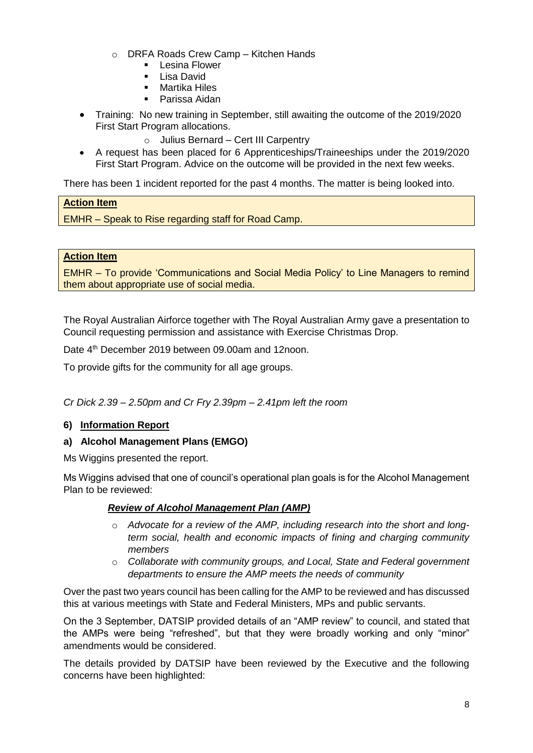- o DRFA Roads Crew Camp Kitchen Hands
	- Lesina Flower
	- Lisa David
	- Martika Hiles
	- Parissa Aidan
- Training: No new training in September, still awaiting the outcome of the 2019/2020 First Start Program allocations.
	- o Julius Bernard Cert III Carpentry
- A request has been placed for 6 Apprenticeships/Traineeships under the 2019/2020 First Start Program. Advice on the outcome will be provided in the next few weeks.

There has been 1 incident reported for the past 4 months. The matter is being looked into.

### **Action Item**

EMHR – Speak to Rise regarding staff for Road Camp.

### **Action Item**

EMHR – To provide 'Communications and Social Media Policy' to Line Managers to remind them about appropriate use of social media.

The Royal Australian Airforce together with The Royal Australian Army gave a presentation to Council requesting permission and assistance with Exercise Christmas Drop.

Date 4<sup>th</sup> December 2019 between 09.00am and 12noon.

To provide gifts for the community for all age groups.

*Cr Dick 2.39 – 2.50pm and Cr Fry 2.39pm – 2.41pm left the room*

### **6) Information Report**

#### **a) Alcohol Management Plans (EMGO)**

Ms Wiggins presented the report.

Ms Wiggins advised that one of council's operational plan goals is for the Alcohol Management Plan to be reviewed:

### *Review of Alcohol Management Plan (AMP)*

- o *Advocate for a review of the AMP, including research into the short and longterm social, health and economic impacts of fining and charging community members*
- o *Collaborate with community groups, and Local, State and Federal government departments to ensure the AMP meets the needs of community*

Over the past two years council has been calling for the AMP to be reviewed and has discussed this at various meetings with State and Federal Ministers, MPs and public servants.

On the 3 September, DATSIP provided details of an "AMP review" to council, and stated that the AMPs were being "refreshed", but that they were broadly working and only "minor" amendments would be considered.

The details provided by DATSIP have been reviewed by the Executive and the following concerns have been highlighted: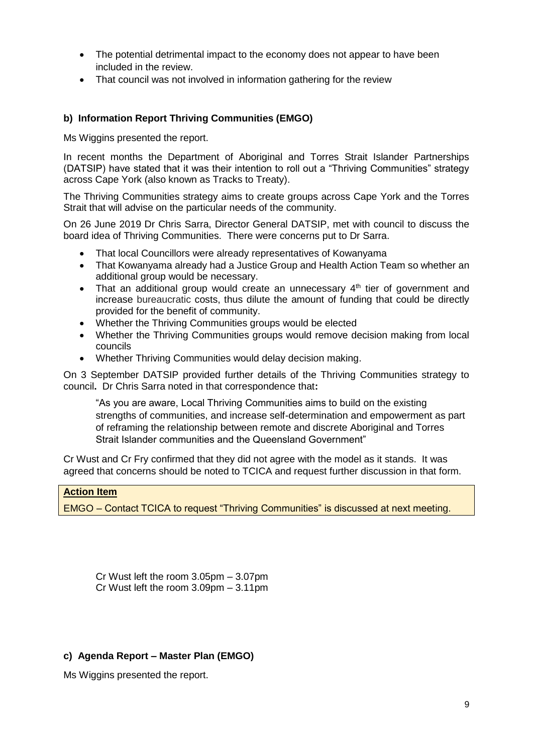- The potential detrimental impact to the economy does not appear to have been included in the review.
- That council was not involved in information gathering for the review

#### **b) Information Report Thriving Communities (EMGO)**

Ms Wiggins presented the report.

In recent months the Department of Aboriginal and Torres Strait Islander Partnerships (DATSIP) have stated that it was their intention to roll out a "Thriving Communities" strategy across Cape York (also known as Tracks to Treaty).

The Thriving Communities strategy aims to create groups across Cape York and the Torres Strait that will advise on the particular needs of the community.

On 26 June 2019 Dr Chris Sarra, Director General DATSIP, met with council to discuss the board idea of Thriving Communities. There were concerns put to Dr Sarra.

- That local Councillors were already representatives of Kowanyama
- That Kowanyama already had a Justice Group and Health Action Team so whether an additional group would be necessary.
- That an additional group would create an unnecessary  $4<sup>th</sup>$  tier of government and increase bureaucratic costs, thus dilute the amount of funding that could be directly provided for the benefit of community.
- Whether the Thriving Communities groups would be elected
- Whether the Thriving Communities groups would remove decision making from local councils
- Whether Thriving Communities would delay decision making.

On 3 September DATSIP provided further details of the Thriving Communities strategy to council**.** Dr Chris Sarra noted in that correspondence that**:**

"As you are aware, Local Thriving Communities aims to build on the existing strengths of communities, and increase self-determination and empowerment as part of reframing the relationship between remote and discrete Aboriginal and Torres Strait Islander communities and the Queensland Government"

Cr Wust and Cr Fry confirmed that they did not agree with the model as it stands. It was agreed that concerns should be noted to TCICA and request further discussion in that form.

#### **Action Item**

EMGO – Contact TCICA to request "Thriving Communities" is discussed at next meeting.

Cr Wust left the room 3.05pm – 3.07pm Cr Wust left the room 3.09pm – 3.11pm

#### **c) Agenda Report – Master Plan (EMGO)**

Ms Wiggins presented the report.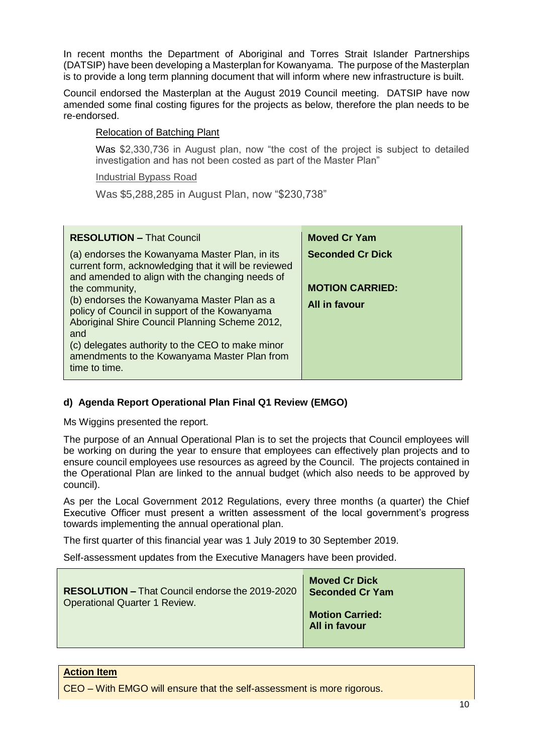In recent months the Department of Aboriginal and Torres Strait Islander Partnerships (DATSIP) have been developing a Masterplan for Kowanyama. The purpose of the Masterplan is to provide a long term planning document that will inform where new infrastructure is built.

Council endorsed the Masterplan at the August 2019 Council meeting. DATSIP have now amended some final costing figures for the projects as below, therefore the plan needs to be re-endorsed.

### Relocation of Batching Plant

Was \$2,330,736 in August plan, now "the cost of the project is subject to detailed investigation and has not been costed as part of the Master Plan"

Industrial Bypass Road

Was \$5,288,285 in August Plan, now "\$230,738"

| <b>RESOLUTION - That Council</b>                                                                                                                          | <b>Moved Cr Yam</b>     |
|-----------------------------------------------------------------------------------------------------------------------------------------------------------|-------------------------|
| (a) endorses the Kowanyama Master Plan, in its<br>current form, acknowledging that it will be reviewed<br>and amended to align with the changing needs of | <b>Seconded Cr Dick</b> |
| the community,                                                                                                                                            | <b>MOTION CARRIED:</b>  |
| (b) endorses the Kowanyama Master Plan as a<br>policy of Council in support of the Kowanyama<br>Aboriginal Shire Council Planning Scheme 2012,<br>and     | All in favour           |
| (c) delegates authority to the CEO to make minor<br>amendments to the Kowanyama Master Plan from<br>time to time.                                         |                         |

# **d) Agenda Report Operational Plan Final Q1 Review (EMGO)**

Ms Wiggins presented the report.

The purpose of an Annual Operational Plan is to set the projects that Council employees will be working on during the year to ensure that employees can effectively plan projects and to ensure council employees use resources as agreed by the Council. The projects contained in the Operational Plan are linked to the annual budget (which also needs to be approved by council).

As per the Local Government 2012 Regulations, every three months (a quarter) the Chief Executive Officer must present a written assessment of the local government's progress towards implementing the annual operational plan.

The first quarter of this financial year was 1 July 2019 to 30 September 2019.

Self-assessment updates from the Executive Managers have been provided.

| <b>RESOLUTION - That Council endorse the 2019-2020</b> | <b>Moved Cr Dick</b>                    |
|--------------------------------------------------------|-----------------------------------------|
| <b>Operational Quarter 1 Review.</b>                   | <b>Seconded Cr Yam</b>                  |
|                                                        | <b>Motion Carried:</b><br>All in favour |

#### **Action Item**

CEO – With EMGO will ensure that the self-assessment is more rigorous.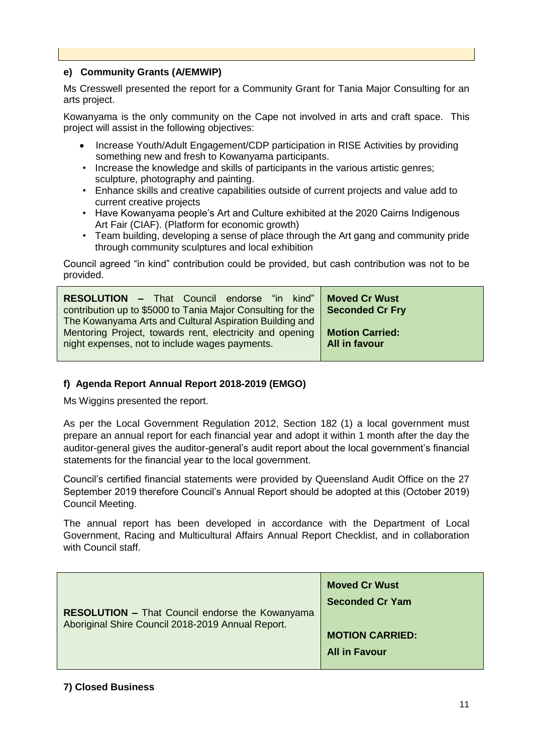### **e) Community Grants (A/EMWIP)**

Ms Cresswell presented the report for a Community Grant for Tania Major Consulting for an arts project.

Kowanyama is the only community on the Cape not involved in arts and craft space. This project will assist in the following objectives:

- Increase Youth/Adult Engagement/CDP participation in RISE Activities by providing something new and fresh to Kowanyama participants.
- Increase the knowledge and skills of participants in the various artistic genres; sculpture, photography and painting.
- Enhance skills and creative capabilities outside of current projects and value add to current creative projects
- Have Kowanyama people's Art and Culture exhibited at the 2020 Cairns Indigenous Art Fair (CIAF). (Platform for economic growth)
- Team building, developing a sense of place through the Art gang and community pride through community sculptures and local exhibition

Council agreed "in kind" contribution could be provided, but cash contribution was not to be provided.

| <b>RESOLUTION - That Council endorse "in kind"</b><br>contribution up to \$5000 to Tania Major Consulting for the | <b>Moved Cr Wust</b><br><b>Seconded Cr Fry</b> |
|-------------------------------------------------------------------------------------------------------------------|------------------------------------------------|
| The Kowanyama Arts and Cultural Aspiration Building and                                                           |                                                |
| Mentoring Project, towards rent, electricity and opening                                                          | <b>Motion Carried:</b>                         |
| night expenses, not to include wages payments.                                                                    | All in favour                                  |

#### **f) Agenda Report Annual Report 2018-2019 (EMGO)**

Ms Wiggins presented the report.

As per the Local Government Regulation 2012, Section 182 (1) a local government must prepare an annual report for each financial year and adopt it within 1 month after the day the auditor-general gives the auditor-general's audit report about the local government's financial statements for the financial year to the local government.

Council's certified financial statements were provided by Queensland Audit Office on the 27 September 2019 therefore Council's Annual Report should be adopted at this (October 2019) Council Meeting.

The annual report has been developed in accordance with the Department of Local Government, Racing and Multicultural Affairs Annual Report Checklist, and in collaboration with Council staff.

| <b>MOTION CARRIED:</b> | <b>RESOLUTION - That Council endorse the Kowanyama</b><br>Aboriginal Shire Council 2018-2019 Annual Report. | <b>Moved Cr Wust</b><br><b>Seconded Cr Yam</b> |
|------------------------|-------------------------------------------------------------------------------------------------------------|------------------------------------------------|
|                        |                                                                                                             | <b>All in Favour</b>                           |

#### **7) Closed Business**